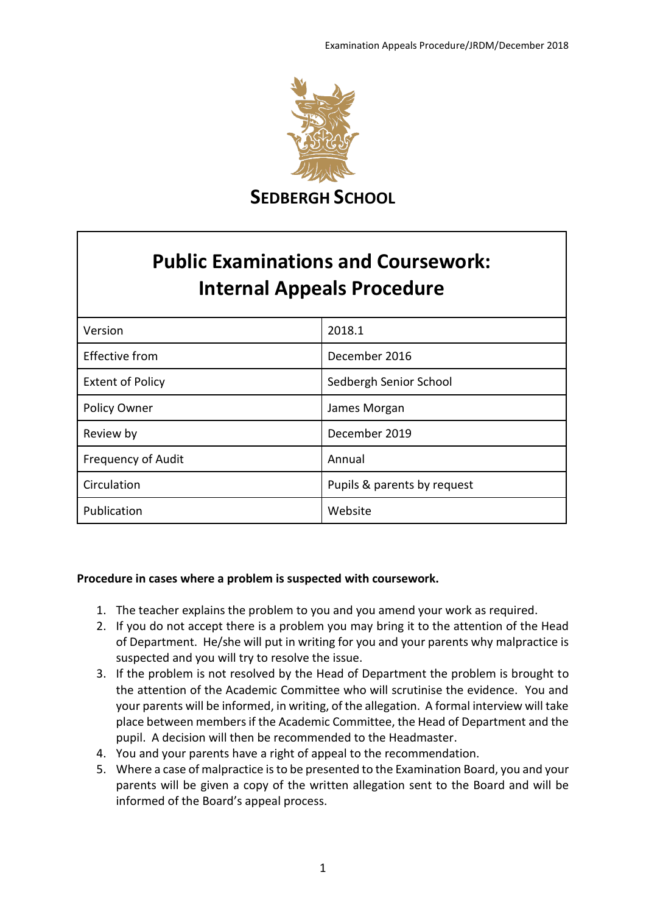

**SEDBERGH SCHOOL**

# **Public Examinations and Coursework: Internal Appeals Procedure**

| Version                   | 2018.1                      |
|---------------------------|-----------------------------|
| <b>Effective from</b>     | December 2016               |
| <b>Extent of Policy</b>   | Sedbergh Senior School      |
| Policy Owner              | James Morgan                |
| Review by                 | December 2019               |
| <b>Frequency of Audit</b> | Annual                      |
| Circulation               | Pupils & parents by request |
| Publication               | Website                     |

# **Procedure in cases where a problem is suspected with coursework.**

- 1. The teacher explains the problem to you and you amend your work as required.
- 2. If you do not accept there is a problem you may bring it to the attention of the Head of Department. He/she will put in writing for you and your parents why malpractice is suspected and you will try to resolve the issue.
- 3. If the problem is not resolved by the Head of Department the problem is brought to the attention of the Academic Committee who will scrutinise the evidence. You and your parents will be informed, in writing, of the allegation. A formal interview will take place between members if the Academic Committee, the Head of Department and the pupil. A decision will then be recommended to the Headmaster.
- 4. You and your parents have a right of appeal to the recommendation.
- 5. Where a case of malpractice is to be presented to the Examination Board, you and your parents will be given a copy of the written allegation sent to the Board and will be informed of the Board's appeal process.